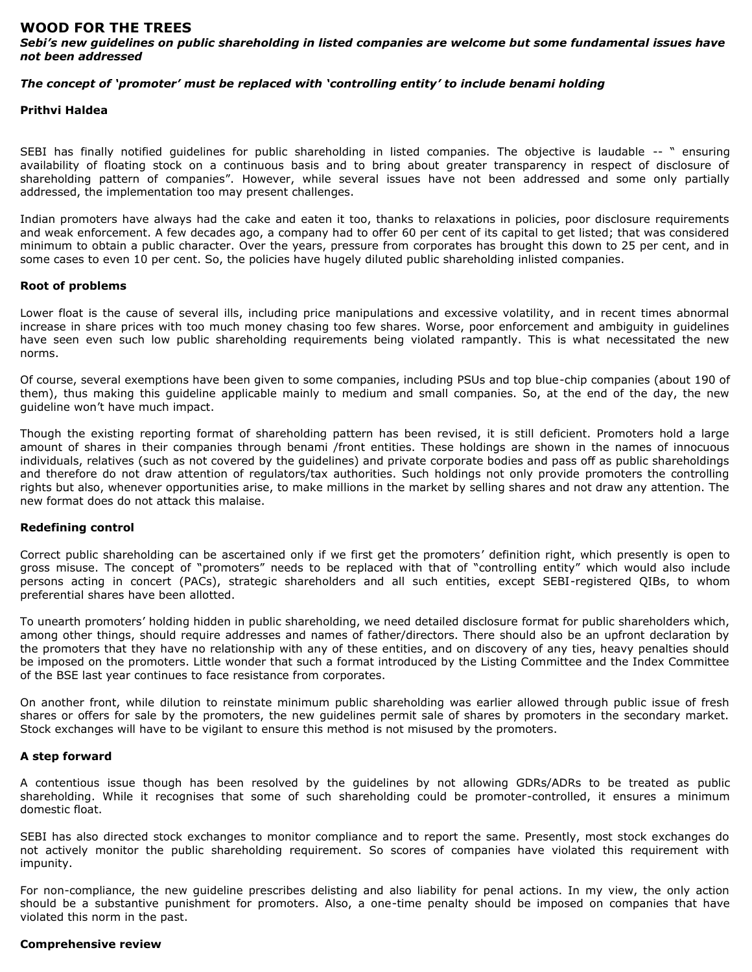# **WOOD FOR THE TREES**

*Sebi's new guidelines on public shareholding in listed companies are welcome but some fundamental issues have not been addressed*

## *The concept of 'promoter' must be replaced with 'controlling entity' to include benami holding*

### **Prithvi Haldea**

SEBI has finally notified guidelines for public shareholding in listed companies. The objective is laudable -- " ensuring availability of floating stock on a continuous basis and to bring about greater transparency in respect of disclosure of shareholding pattern of companies". However, while several issues have not been addressed and some only partially addressed, the implementation too may present challenges.

Indian promoters have always had the cake and eaten it too, thanks to relaxations in policies, poor disclosure requirements and weak enforcement. A few decades ago, a company had to offer 60 per cent of its capital to get listed; that was considered minimum to obtain a public character. Over the years, pressure from corporates has brought this down to 25 per cent, and in some cases to even 10 per cent. So, the policies have hugely diluted public shareholding inlisted companies.

#### **Root of problems**

Lower float is the cause of several ills, including price manipulations and excessive volatility, and in recent times abnormal increase in share prices with too much money chasing too few shares. Worse, poor enforcement and ambiguity in guidelines have seen even such low public shareholding requirements being violated rampantly. This is what necessitated the new norms.

Of course, several exemptions have been given to some companies, including PSUs and top blue-chip companies (about 190 of them), thus making this guideline applicable mainly to medium and small companies. So, at the end of the day, the new guideline won't have much impact.

Though the existing reporting format of shareholding pattern has been revised, it is still deficient. Promoters hold a large amount of shares in their companies through benami /front entities. These holdings are shown in the names of innocuous individuals, relatives (such as not covered by the guidelines) and private corporate bodies and pass off as public shareholdings and therefore do not draw attention of regulators/tax authorities. Such holdings not only provide promoters the controlling rights but also, whenever opportunities arise, to make millions in the market by selling shares and not draw any attention. The new format does do not attack this malaise.

## **Redefining control**

Correct public shareholding can be ascertained only if we first get the promoters' definition right, which presently is open to gross misuse. The concept of "promoters" needs to be replaced with that of "controlling entity" which would also include persons acting in concert (PACs), strategic shareholders and all such entities, except SEBI-registered QIBs, to whom preferential shares have been allotted.

To unearth promoters' holding hidden in public shareholding, we need detailed disclosure format for public shareholders which, among other things, should require addresses and names of father/directors. There should also be an upfront declaration by the promoters that they have no relationship with any of these entities, and on discovery of any ties, heavy penalties should be imposed on the promoters. Little wonder that such a format introduced by the Listing Committee and the Index Committee of the BSE last year continues to face resistance from corporates.

On another front, while dilution to reinstate minimum public shareholding was earlier allowed through public issue of fresh shares or offers for sale by the promoters, the new guidelines permit sale of shares by promoters in the secondary market. Stock exchanges will have to be vigilant to ensure this method is not misused by the promoters.

## **A step forward**

A contentious issue though has been resolved by the guidelines by not allowing GDRs/ADRs to be treated as public shareholding. While it recognises that some of such shareholding could be promoter-controlled, it ensures a minimum domestic float.

SEBI has also directed stock exchanges to monitor compliance and to report the same. Presently, most stock exchanges do not actively monitor the public shareholding requirement. So scores of companies have violated this requirement with impunity.

For non-compliance, the new guideline prescribes delisting and also liability for penal actions. In my view, the only action should be a substantive punishment for promoters. Also, a one-time penalty should be imposed on companies that have violated this norm in the past.

## **Comprehensive review**